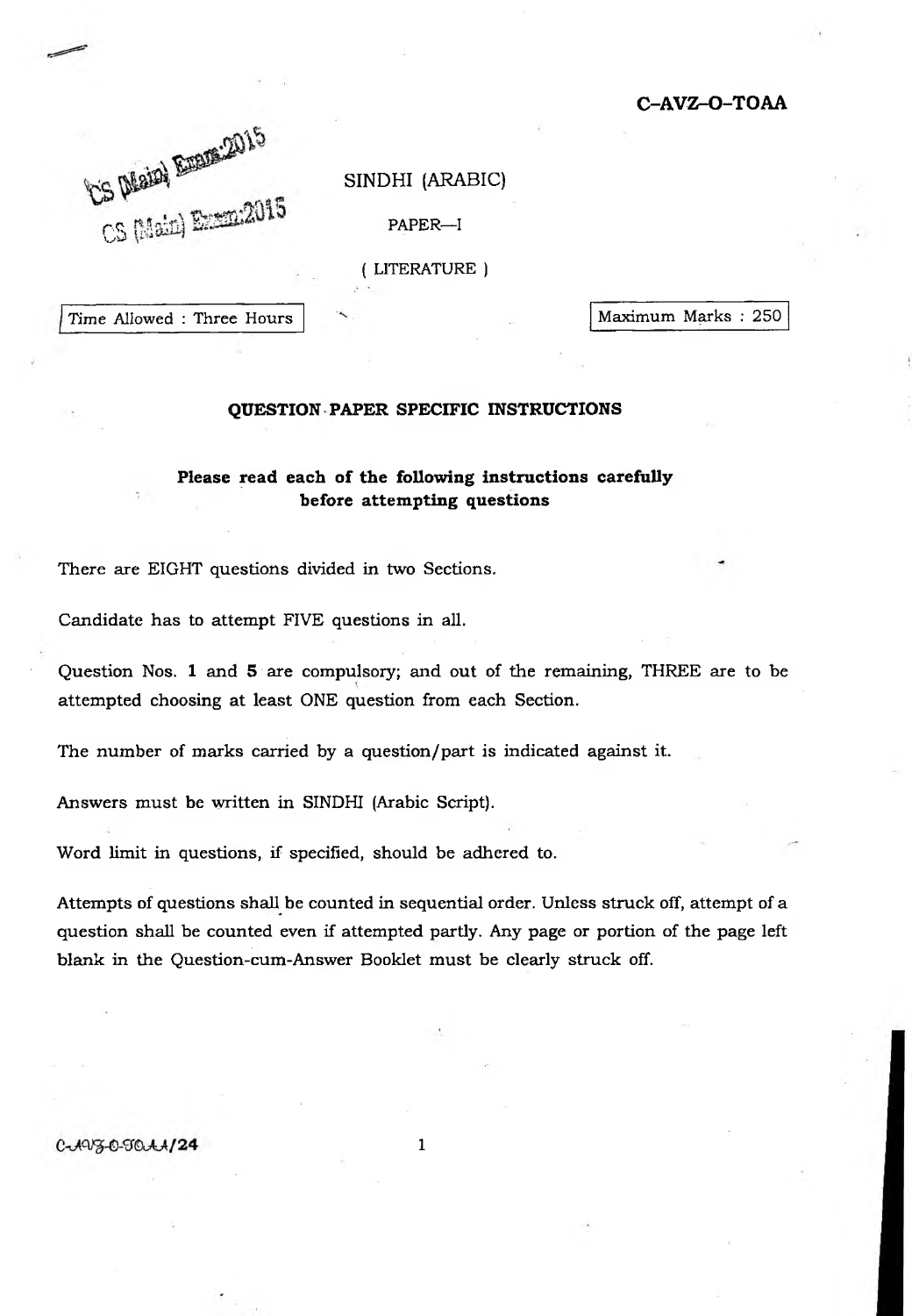**C-AVZ-O-TOAA**

## SINDHI (ARABIC)

 $CS$   $[Max]$   $EXC$   $EXC$   $EXD$   $EXD$   $EXD$   $EXD$   $EXD$ 

( LITERATURE )

Time Allowed : Three Hours  $\sim$  Maximum Marks : 250

## **QUESTION PAPER SPECIFIC INSTRUCTIONS**

## **Please read each of the following instructions carefully before attempting questions**

There are EIGHT questions divided in two Sections.

Candidate has to attempt FIVE questions in all.

Question Nos. 1 and 5 are compulsory; and out of the remaining, THREE are to be attempted choosing at least ONE question from each Section.

The number of marks carried by a question/part is indicated against it.

Answers must be written in SINDHI (Arabic Script).

Word limit in questions, if specified, should be adhered to.

Attempts of questions shall be counted in sequential order. Unless struck off, attempt of a question shall be counted even if attempted partly. Any page or portion of the page left blank in the Question-cum-Answer Booklet must be clearly struck off.

1

 $C - A V3 - C - T0 A A / 24$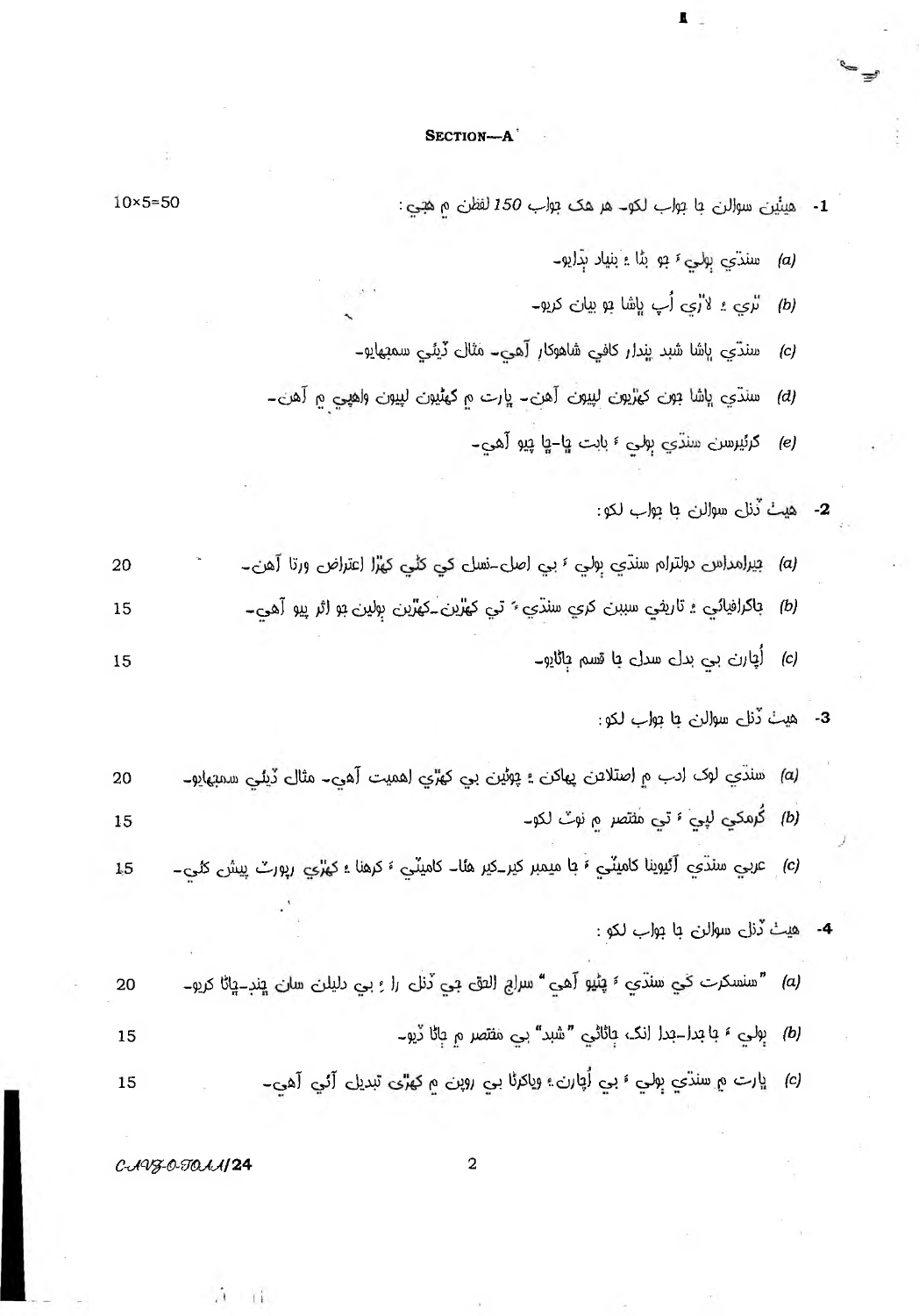## SECTION-A

L

- $10 \times 5 = 50$ 1- هيئين سوالن با بواب لكو - هر هك بواب 150 لفظن م هجي: سندي ٻوليءَ ٻو بڻا ۽ بنياد ٻڌايو۔  $(a)$ تري ۽ لاڙي اُپ ڀاشا بو بيان کريو۔  $(b)$ سنڌي ڀاشا شبد پندار کافي شاهوکار آهي۔ مثال ڏيئي سمبهايو۔  $(c)$ سنڌي ڀاشا جون کهڙيون لپيون آهن۔ ڀارت ۾ کهڻيون لپيون واهپي ۾ آهن۔  $(d)$ گرئيرسرن سنڌي ٻولي ۽ بابت ۾ا-ڇا پيو آهي۔  $(e)$ 2- هيٺُ ڏنلي سوالن جا ٻواب لکو: (a) بيرامداس دولترام سنڌي بولي ٤ بي اصل-نسل کي کڻي کهرا اعتراض ورتا آهن۔ *(b)* باکرافيائي تاري*غ*ي سببن کري سنڌي <sup>۽</sup> تي کهڙين ـکهڙين ٻولين بو اثر پيو آھي۔ (c) أُچارن بي بدل سدل با قسم ٻاڻايو۔ 3- هيٺُ ڏنل سوالن ۾ا ٻواب لکو: (a) سنڌي لوک ادب م اصتلاعن پهاکن ؛ پوڻين بي کهڙي اهميت آهي۔ مثال ڏيئي سمبهايو۔ (b) كُرمكي ليي 5 تي مثتصر م نوبٌ لكو۔ (c) عربي سنڌي آئيوينا کاميٽي ۽ با ميمبر کير ـکير هئا۔ کاميٽي ۽ کرهنا ۽ کهڙي رپورٽ پيش کئي۔ 4- هيٺ ڏنل سوالن با ٻواب لکو : (a) "سنسكرت كي سندّي ٤ پڻيو آهي" سراج الفق جي ڏنل را بي دليلن سان ڀنڊ-ڀاڻا كريوــ
- (b) بِولي ءَ يا بَدا بَدا انک بائاڻي "شبد" بي مفتصر م باڻا ڏيو۔ 15
- (c) ڀارت ۾ سنڌي ٻولي ۽ بي اُچارن ۽ وياکرڻا بي روپن ۾ کهڙي تبديل آئي آهي۔ 15

 $C<sub>0</sub>493 - 0 - T0001/124$ 

 $\tilde{L}$ 

 $-11$ 

20

15

15

20

15

 $1,5$ 

20

 $\overline{a}$